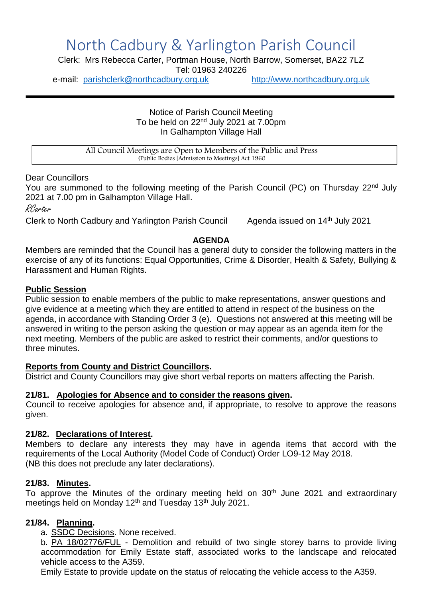# North Cadbury & Yarlington Parish Council

Clerk: Mrs Rebecca Carter, Portman House, North Barrow, Somerset, BA22 7LZ Tel: 01963 240226

e-mail: [parishclerk@northcadbury.org.uk](mailto:parishclerk@northcadbury.org.uk) [http://www.northcadbury.org.uk](http://www.northcadbury.org.uk/)

Notice of Parish Council Meeting To be held on 22<sup>nd</sup> July 2021 at 7.00pm In Galhampton Village Hall

All Council Meetings are Open to Members of the Public and Press (Public Bodies [Admission to Meetings] Act 1960

Dear Councillors

You are summoned to the following meeting of the Parish Council (PC) on Thursday 22<sup>nd</sup> July 2021 at 7.00 pm in Galhampton Village Hall.

RCarter

Clerk to North Cadbury and Yarlington Parish Council Agenda issued on 14th July 2021

#### **AGENDA**

Members are reminded that the Council has a general duty to consider the following matters in the exercise of any of its functions: Equal Opportunities, Crime & Disorder, Health & Safety, Bullying & Harassment and Human Rights.

#### **Public Session**

Public session to enable members of the public to make representations, answer questions and give evidence at a meeting which they are entitled to attend in respect of the business on the agenda, in accordance with Standing Order 3 (e). Questions not answered at this meeting will be answered in writing to the person asking the question or may appear as an agenda item for the next meeting. Members of the public are asked to restrict their comments, and/or questions to three minutes.

#### **Reports from County and District Councillors.**

District and County Councillors may give short verbal reports on matters affecting the Parish.

#### **21/81. Apologies for Absence and to consider the reasons given.**

Council to receive apologies for absence and, if appropriate, to resolve to approve the reasons given.

#### **21/82. Declarations of Interest.**

Members to declare any interests they may have in agenda items that accord with the requirements of the Local Authority (Model Code of Conduct) Order LO9-12 May 2018. (NB this does not preclude any later declarations).

#### **21/83. Minutes.**

To approve the Minutes of the ordinary meeting held on 30<sup>th</sup> June 2021 and extraordinary meetings held on Monday 12<sup>th</sup> and Tuesday 13<sup>th</sup> July 2021.

#### **21/84. Planning.**

a. SSDC Decisions. None received.

b. PA 18/02776/FUL - Demolition and rebuild of two single storey barns to provide living accommodation for Emily Estate staff, associated works to the landscape and relocated vehicle access to the A359.

Emily Estate to provide update on the status of relocating the vehicle access to the A359.